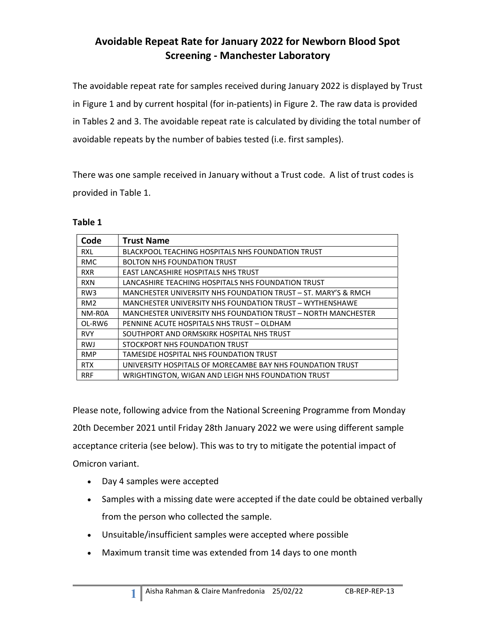## Avoidable Repeat Rate for January 2022 for Newborn Blood Spot Screening - Manchester Laboratory

The avoidable repeat rate for samples received during January 2022 is displayed by Trust in Figure 1 and by current hospital (for in-patients) in Figure 2. The raw data is provided in Tables 2 and 3. The avoidable repeat rate is calculated by dividing the total number of avoidable repeats by the number of babies tested (i.e. first samples).

There was one sample received in January without a Trust code. A list of trust codes is provided in Table 1.

#### Table 1

| Code            | <b>Trust Name</b>                                              |
|-----------------|----------------------------------------------------------------|
| <b>RXL</b>      | BLACKPOOL TEACHING HOSPITALS NHS FOUNDATION TRUST              |
| <b>RMC</b>      | <b>BOLTON NHS FOUNDATION TRUST</b>                             |
| <b>RXR</b>      | <b>EAST LANCASHIRE HOSPITALS NHS TRUST</b>                     |
| <b>RXN</b>      | LANCASHIRE TEACHING HOSPITALS NHS FOUNDATION TRUST             |
| RW <sub>3</sub> | MANCHESTER UNIVERSITY NHS FOUNDATION TRUST - ST. MARY'S & RMCH |
| RM <sub>2</sub> | MANCHESTER UNIVERSITY NHS FOUNDATION TRUST - WYTHENSHAWE       |
| NM-R0A          | MANCHESTER UNIVERSITY NHS FOUNDATION TRUST - NORTH MANCHESTER  |
| OL-RW6          | PENNINE ACUTE HOSPITALS NHS TRUST - OLDHAM                     |
| <b>RVY</b>      | SOUTHPORT AND ORMSKIRK HOSPITAL NHS TRUST                      |
| <b>RWJ</b>      | STOCKPORT NHS FOUNDATION TRUST                                 |
| <b>RMP</b>      | TAMESIDE HOSPITAL NHS FOUNDATION TRUST                         |
| <b>RTX</b>      | UNIVERSITY HOSPITALS OF MORECAMBE BAY NHS FOUNDATION TRUST     |
| <b>RRF</b>      | WRIGHTINGTON, WIGAN AND LEIGH NHS FOUNDATION TRUST             |

Please note, following advice from the National Screening Programme from Monday 20th December 2021 until Friday 28th January 2022 we were using different sample acceptance criteria (see below). This was to try to mitigate the potential impact of Omicron variant.

Day 4 samples were accepted

1

- Samples with a missing date were accepted if the date could be obtained verbally from the person who collected the sample.
- Unsuitable/insufficient samples were accepted where possible
- Maximum transit time was extended from 14 days to one month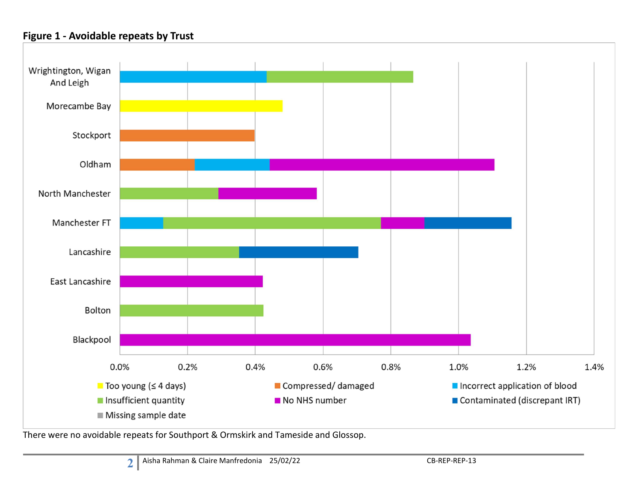### Figure 1 - Avoidable repeats by Trust



There were no avoidable repeats for Southport & Ormskirk and Tameside and Glossop.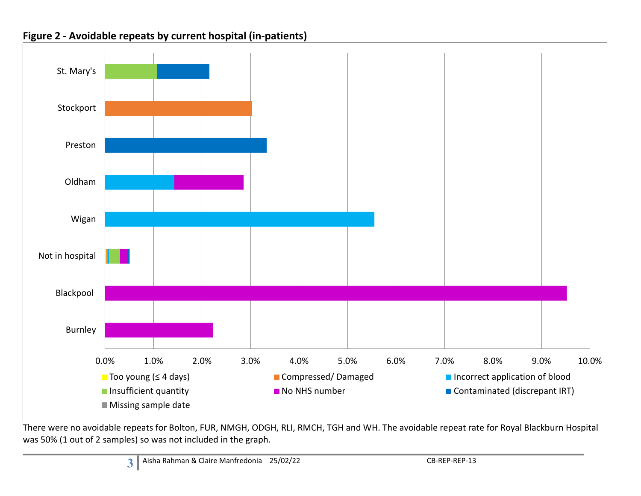

### Figure 2 - Avoidable repeats by current hospital (in-patients)

There were no avoidable repeats for Bolton, FUR, NMGH, ODGH, RLI, RMCH, TGH and WH. The avoidable repeat rate for Royal Blackburn Hospital was 50% (1 out of 2 samples) so was not included in the graph.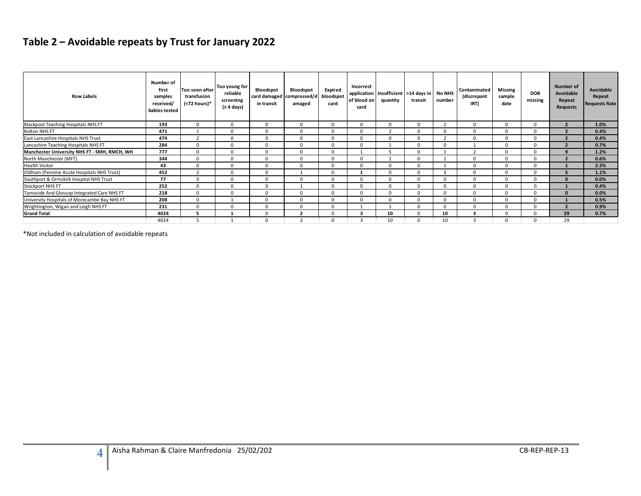# Table 2 – Avoidable repeats by Trust for January 2022

| Table 2 - Avoidable repeats by Trust for January 2022       |                            |                |                |              |                |                |                         |                            |                      |                         |                         |                |                |                  |                      |
|-------------------------------------------------------------|----------------------------|----------------|----------------|--------------|----------------|----------------|-------------------------|----------------------------|----------------------|-------------------------|-------------------------|----------------|----------------|------------------|----------------------|
|                                                             |                            |                |                |              |                |                |                         |                            |                      |                         |                         |                |                |                  |                      |
|                                                             |                            |                |                |              |                |                |                         |                            |                      |                         |                         |                |                |                  |                      |
|                                                             |                            |                |                |              |                |                |                         |                            |                      |                         |                         |                |                |                  |                      |
|                                                             |                            |                |                |              |                |                |                         |                            |                      |                         |                         |                |                |                  |                      |
|                                                             |                            |                |                |              |                |                |                         |                            |                      |                         |                         |                |                |                  |                      |
|                                                             |                            |                |                |              |                |                |                         |                            |                      |                         |                         |                |                |                  |                      |
|                                                             | Number of                  |                | Too young for  |              |                |                | Incorrect               |                            |                      |                         |                         |                |                | <b>Number of</b> |                      |
|                                                             | first                      | Too soon after | reliable       | Bloodspot    | Bloodspot      | Expired        |                         | application   Insufficient | >14 days in   No NHS |                         | Contaminated            | <b>Missing</b> | <b>DOB</b>     | Avoidable        | Avoidable            |
| <b>Row Labels</b>                                           | samples                    | transfusion    | screening      | card damaged | compressed/d   | bloodspot      | of blood on             | quantity                   | transit              | number                  | (discrepant             | sample         | missing        | Repeat           | Repeat               |
|                                                             | received/<br>babies tested | (<72 hours)*   | (≤ 4 days)     | in transit   | amaged         | card           | card                    |                            |                      |                         | IRT)                    | date           |                | Requests         | <b>Requests Rate</b> |
|                                                             |                            |                |                |              |                |                |                         |                            |                      |                         |                         |                |                |                  |                      |
|                                                             | 193                        | $\overline{0}$ | $\mathbf{0}$   | $\mathbf{0}$ | $\mathbf{0}$   | $\overline{0}$ | $\mathbf{0}$            | $\Omega$                   | $\overline{0}$       | $\overline{2}$          | $\overline{0}$          | $\overline{0}$ | $\mathbf{0}$   | $\overline{2}$   | 1.0%                 |
| <b>Blackpool Teaching Hospitals NHS FT</b><br>Bolton NHS FT | 471                        | $\overline{1}$ | $\overline{0}$ | $\mathbf{0}$ | $\mathbf 0$    | $\overline{0}$ | $\mathbf{0}$            | $\overline{2}$             | $\overline{0}$       | $\overline{0}$          | $\overline{0}$          | $\overline{0}$ | $\mathbf{0}$   | $\overline{2}$   | 0.4%                 |
| East Lancashire Hospitals NHS Trust                         | 474                        | $\overline{2}$ | $\mathbf 0$    | $\mathbf{0}$ | $\mathbf 0$    | $\mathbf 0$    | $\mathbf{0}$            | $\mathbf 0$                | $\overline{0}$       | $\overline{2}$          | $\overline{0}$          | $\overline{0}$ | $\mathbf 0$    | $\overline{2}$   | 0.4%                 |
| Lancashire Teaching Hospitals NHS FT                        | 284                        | $\overline{0}$ | $\overline{0}$ | $\mathbf{0}$ | $\mathbf 0$    | $\mathbf 0$    | $\mathbf{0}$            | 1                          | $\overline{0}$       | $\overline{0}$          | 1                       | $\overline{0}$ | $\mathbf 0$    | $\overline{2}$   | 0.7%                 |
| Manchester University NHS FT - SMH, RMCH, WH                | 777                        | $\Omega$       | $\Omega$       | $\Omega$     | $\mathbf{0}$   | $\mathbf{0}$   | 1                       | - 5                        | $\overline{0}$       | 1                       | $\overline{2}$          | $\overline{0}$ | $\Omega$       | 9                | 1.2%                 |
| North Manchester (MFT)                                      | 344                        | $\overline{0}$ | $\overline{0}$ | $\mathbf{0}$ | $\mathbf{0}$   | $\overline{0}$ | $\overline{0}$          | 1                          | $\overline{0}$       | 1                       | $\overline{0}$          | $\overline{0}$ | $\mathbf 0$    | $\overline{2}$   | 0.6%                 |
| <b>Health Visitor</b>                                       | 43                         | $\overline{0}$ | $\overline{0}$ | $\mathbf{0}$ | $\mathbf{0}$   | $\overline{0}$ | $\mathbf{0}$            | $\mathbf{0}$               | $\overline{0}$       | $\overline{1}$          | $\overline{0}$          | $\overline{0}$ | $\mathbf{0}$   | <sup>1</sup>     | 2.3%                 |
| Oldham (Pennine Acute Hospitals NHS Trust)                  | 452                        | $\overline{2}$ | $\mathbf 0$    | $\mathbf 0$  | 1              | $\mathbf 0$    | $\mathbf{1}$            | $\mathbf 0$                | $\overline{0}$       | $\overline{\mathbf{3}}$ | $\overline{0}$          | $\overline{0}$ | $\overline{0}$ | 5 <sub>5</sub>   | 1.1%                 |
| Southport & Ormskirk Hospital NHS Trust                     | 77                         | $\overline{0}$ | $\mathbf{0}$   | $\mathbf{0}$ | $\mathbf{0}$   | $\mathbf{0}$   | $\overline{0}$          | $\overline{0}$             | $\overline{0}$       | $\overline{0}$          | $\overline{0}$          | $\overline{0}$ | $\mathbf 0$    | $\mathbf{0}$     | 0.0%                 |
| Stockport NHS FT                                            | 252                        | $\overline{0}$ | $\mathbf{0}$   | $\mathbf{0}$ | 1              | $\mathbf{0}$   | $\overline{0}$          | $\overline{0}$             | $\overline{0}$       | $\overline{0}$          | $\overline{0}$          | $\overline{0}$ | $\mathbf 0$    | $\mathbf{1}$     | 0.4%                 |
| Tameside And Glossop Integrated Care NHS FT                 | 218                        | $\overline{0}$ | $\mathbf 0$    | $\mathbf{0}$ | $\mathbf{0}$   | $\mathbf 0$    | $\mathbf{0}$            | $\mathbf 0$                | $\overline{0}$       | $\overline{0}$          | $\overline{0}$          | $\overline{0}$ | $\mathbf 0$    | $\mathbf{0}$     | 0.0%                 |
| University Hospitals of Morecambe Bay NHS FT                | 208                        | $\overline{0}$ | 1              | $\mathbf{0}$ | $\mathbf{0}$   | $\mathbf{0}$   | $\mathbf{0}$            | $\mathbf{0}$               | $\overline{0}$       | $\mathbf{0}$            | $\overline{0}$          | $\overline{0}$ | $\mathbf{0}$   | $\mathbf{1}$     | 0.5%                 |
| Wrightington, Wigan and Leigh NHS FT                        | 231                        | $\overline{0}$ | $\mathbf 0$    | $\mathbf{0}$ | $\mathbf 0$    | $\mathbf 0$    | 1                       | $\mathbf{1}$               | $\overline{0}$       | $\mathbf 0$             | $\overline{0}$          | $\mathbf 0$    | $\mathbf{0}$   | $\overline{2}$   | 0.9%                 |
| <b>Grand Total</b>                                          | 4024                       | 5              | 1              | $\mathbf{0}$ | $\overline{2}$ | $\mathbf 0$    | $\overline{\mathbf{3}}$ | 10                         | $\mathbf 0$          | 10                      | $\overline{\mathbf{3}}$ | $\mathbf 0$    | $\mathbf{0}$   | 29               | 0.7%                 |
|                                                             | 4024                       | 5              | $\mathbf{1}$   | $\mathbf{0}$ | $\overline{2}$ | $\Omega$       | $\overline{\mathbf{3}}$ | 10                         | $\overline{0}$       | 10                      | $\overline{\mathbf{3}}$ | $\overline{0}$ | $\mathbf{0}$   | 29               |                      |

4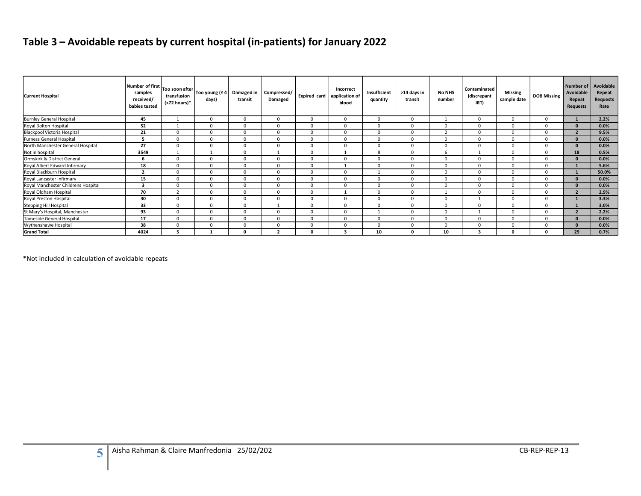# Table 3 – Avoidable repeats by current hospital (in-patients) for January 2022

| Table 3 - Avoidable repeats by current hospital (in-patients) for January 2022 |                            |                                               |                              |                            |                                  |                               |                                      |                          |                               |                         |                             |                                  |                               |                           |                            |
|--------------------------------------------------------------------------------|----------------------------|-----------------------------------------------|------------------------------|----------------------------|----------------------------------|-------------------------------|--------------------------------------|--------------------------|-------------------------------|-------------------------|-----------------------------|----------------------------------|-------------------------------|---------------------------|----------------------------|
|                                                                                |                            |                                               |                              |                            |                                  |                               |                                      |                          |                               |                         |                             |                                  |                               |                           |                            |
|                                                                                |                            |                                               |                              |                            |                                  |                               |                                      |                          |                               |                         |                             |                                  |                               |                           |                            |
|                                                                                |                            |                                               |                              |                            |                                  |                               |                                      |                          |                               |                         |                             |                                  |                               |                           |                            |
|                                                                                | Number of first            |                                               |                              |                            |                                  |                               |                                      |                          |                               |                         |                             |                                  |                               | <b>Number of</b>          | Avoidable                  |
| <b>Current Hospital</b>                                                        | samples                    | Too soon after<br>transfusion<br>(<72 hours)* | Too young (≤ 4<br>days)      | Damaged in<br>transit      | Compressed/<br>Damaged           | Expired card                  | Incorrect<br>application of<br>blood | Insufficient<br>quantity | >14 days in<br>transit        | <b>No NHS</b><br>number | Contaminated<br>(discrepant | <b>Missing</b><br>sample date    | <b>DOB Missing</b>            | Avoidable                 | Repeat<br>Requests<br>Rate |
|                                                                                | received/<br>babies tested |                                               |                              |                            |                                  |                               |                                      |                          |                               |                         | IRT)                        |                                  |                               | Repeat<br><b>Requests</b> |                            |
|                                                                                |                            |                                               |                              |                            |                                  |                               |                                      |                          |                               |                         |                             |                                  |                               |                           |                            |
| <b>Burnley General Hospital</b>                                                | 45                         | 1                                             | $\mathbf 0$                  | $\overline{0}$             | $\overline{0}$                   | $^{\circ}$                    | $^{\circ}$                           | $\overline{\mathbf{0}}$  | $\overline{\mathbf{0}}$       | 1                       | $\overline{0}$              | $\overline{0}$                   | $\mathbf 0$                   | $\mathbf{1}$              | 2.2%                       |
| Royal Bolton Hospital                                                          | 52                         | $\overline{1}$                                | $\mathbf{0}$                 | $\Omega$                   | $\Omega$                         | $\Omega$                      | $\Omega$                             | $\Omega$                 | $\overline{0}$                | $\overline{0}$          | $\overline{0}$              | $\overline{0}$                   | $\mathbf{0}$                  | $\mathbf{0}$              | 0.0%                       |
| Blackpool Victoria Hospital                                                    | 21                         | $\mathbf{0}$                                  | $\Omega$                     | $\Omega$                   | $\overline{0}$                   | $\Omega$                      | $\Omega$                             | $\overline{0}$           | $\overline{0}$                | $\overline{2}$          | $\overline{0}$              | $\overline{0}$                   | $\mathbf{0}$                  | $\overline{2}$            | 9.5%                       |
| Furness General Hospital                                                       | 5                          | $\mathbf{0}$                                  | $\mathbf 0$                  | $\overline{0}$             | $\overline{0}$                   | $\mathbf 0$                   | $\mathbf 0$                          | $\overline{0}$           | $\mathbf 0$                   | $\overline{0}$          | $\mathbf 0$                 | $\overline{0}$                   | $\mathbf 0$                   | $\mathbf{0}$              | 0.0%                       |
| North Manchester General Hospital<br>Not in hospital                           | 27                         | $\mathbf{0}$                                  | $\mathbf{0}$                 | $\Omega$                   | $\overline{0}$<br>$\overline{1}$ | $\Omega$                      | $\Omega$<br>$\overline{1}$           | $\Omega$                 | $\mathbf 0$                   | $\overline{0}$          | $\overline{0}$<br>1         | $\overline{0}$                   | $\mathbf{0}$                  | $\mathbf{0}$              | 0.0%                       |
| Ormskirk & District General                                                    | 3549<br>6                  | 1<br>$\mathbf{0}$                             | $\mathbf{1}$<br>$\mathbf{0}$ | $\overline{0}$<br>$\Omega$ | $\overline{0}$                   | $\overline{0}$<br>$\mathbf 0$ | $\mathbf 0$                          | 8<br>$\overline{0}$      | $\overline{0}$<br>$\mathbf 0$ | 6<br>$\overline{0}$     | $\overline{0}$              | $\overline{0}$<br>$\overline{0}$ | $\overline{0}$<br>$\mathbf 0$ | 18<br>$\mathbf{0}$        | 0.5%<br>0.0%               |
| Royal Albert Edward Infirmary                                                  | 18                         | $\mathbf{0}$                                  | $\mathbf 0$                  | $\overline{0}$             | $\overline{0}$                   | $^{\circ}$                    | 1                                    | $\overline{0}$           | $\mathbf 0$                   | $\overline{0}$          | $\overline{0}$              | $\overline{0}$                   | $\mathbf 0$                   | $\mathbf{1}$              | 5.6%                       |
| Royal Blackburn Hospital                                                       | $\overline{2}$             | $\mathbf{0}$                                  | $\mathbf{0}$                 | $\Omega$                   | $\overline{0}$                   | $\overline{0}$                | $\mathbf 0$                          | <sup>1</sup>             | $\mathbf 0$                   | $\overline{0}$          | $\overline{0}$              | $\overline{0}$                   | $\mathbf{0}$                  | $\mathbf{1}$              | 50.0%                      |
| Royal Lancaster Infirmary                                                      | 15                         | $\mathbf{0}$                                  | $\mathbf{0}$                 | $\Omega$                   | $\Omega$                         | $\Omega$                      | $\mathbf 0$                          | $\mathbf 0$              | $\overline{0}$                | $\overline{\mathbf{0}}$ | $\mathbf 0$                 | $\overline{0}$                   | $\mathbf 0$                   | $\mathbf{0}$              | 0.0%                       |
| Royal Manchester Childrens Hospital                                            | $\overline{\mathbf{3}}$    | $\mathbf{0}$                                  | $\mathbf{0}$                 | $\Omega$                   | $\overline{0}$                   | $\mathbf 0$                   | $\Omega$                             | $\overline{0}$           | $\mathbf 0$                   | $\overline{0}$          | $\overline{0}$              | $\overline{0}$                   | $\overline{0}$                | $\mathbf{0}$              | 0.0%                       |
| Royal Oldham Hospital                                                          | 70                         | 2                                             | $\mathbf{0}$                 | $\overline{0}$             | $\overline{0}$                   | $^{\circ}$                    | 1                                    | $\overline{\mathbf{0}}$  | $\overline{\mathbf{0}}$       | 1                       | $\overline{0}$              | $\overline{0}$                   | $\mathbf 0$                   | $\overline{2}$            | 2.9%                       |
| Royal Preston Hospital                                                         | 30                         | $\mathbf{0}$                                  | $\mathbf{0}$                 | $\Omega$                   | $\Omega$                         | $\Omega$                      | $\Omega$                             | $\Omega$                 | $\overline{0}$                | $\overline{0}$          | 1                           | $\overline{0}$                   | $\mathbf{0}$                  | $\mathbf{1}$              | 3.3%                       |
| Stepping Hill Hospital                                                         | 33                         | $\mathbf{0}$                                  | $\mathbf{0}$                 | $\overline{0}$             | 1                                | $\overline{0}$                | $\mathsf 0$                          | $\overline{0}$           | $\overline{0}$                | $\overline{0}$          | $\mathbf 0$                 | $\overline{0}$                   | $\overline{0}$                | $\mathbf{1}$              | 3.0%                       |
| St Mary's Hospital, Manchester                                                 | 93                         | $\overline{0}$                                | $\mathbf{0}$                 | $\Omega$                   | $\overline{0}$                   | $\Omega$                      | $\Omega$                             | $\overline{1}$           | $\overline{0}$                | $\overline{0}$          | 1                           | $\overline{0}$                   | $\mathbf{0}$                  | $\overline{2}$            | 2.2%                       |
| Tameside General Hospita                                                       | 17                         | $^{\circ}$                                    | $^{\circ}$                   | $\Omega$                   | $\overline{0}$                   | $\mathbf 0$                   | $\mathbf 0$                          | $\Omega$                 | $\overline{0}$                | $\overline{0}$          | $\overline{0}$              | $\overline{0}$                   | $\Omega$                      | $\Omega$                  | 0.0%                       |
|                                                                                | 38                         | $\Omega$                                      | $\Omega$                     | $\Omega$                   | $\Omega$                         | $\Omega$                      | $\Omega$                             | $\Omega$                 | $\overline{0}$                | $\overline{0}$          | $\overline{0}$              | $\Omega$                         | $\Omega$                      | $\mathbf{0}$              | 0.0%                       |
| Wythenshawe Hospital<br><b>Grand Total</b>                                     | 4024                       | 5                                             | $\mathbf{1}$                 | $\mathbf{0}$               | $\overline{2}$                   | $\mathbf{0}$                  | $\overline{\mathbf{3}}$              | 10                       | $\mathbf 0$                   | 10                      | $\overline{\mathbf{3}}$     | $\mathbf 0$                      | $\mathbf 0$                   | 29                        | 0.7%                       |